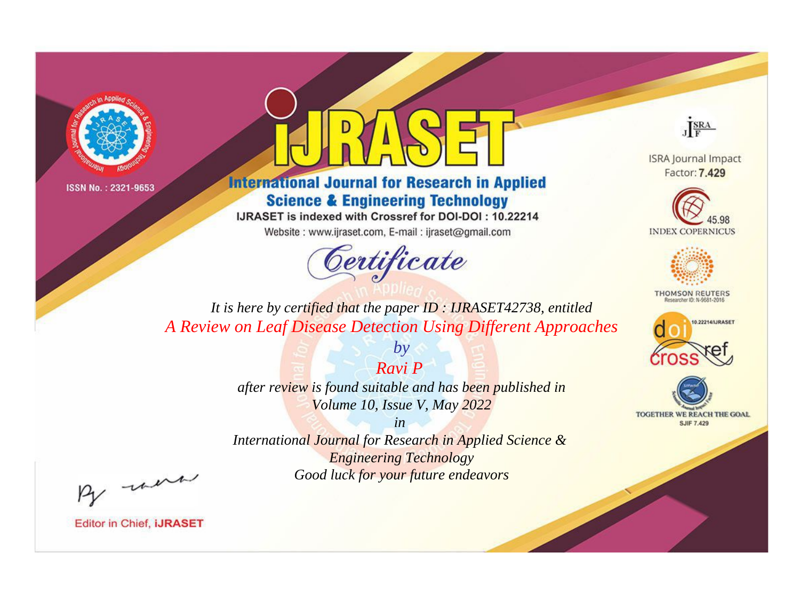



**International Journal for Research in Applied Science & Engineering Technology** 

IJRASET is indexed with Crossref for DOI-DOI: 10.22214

Website: www.ijraset.com, E-mail: ijraset@gmail.com



JERA

**ISRA Journal Impact** Factor: 7.429





**THOMSON REUTERS** 



TOGETHER WE REACH THE GOAL **SJIF 7.429** 

*It is here by certified that the paper ID : IJRASET42738, entitled A Review on Leaf Disease Detection Using Different Approaches*

> *by Ravi P*

*after review is found suitable and has been published in Volume 10, Issue V, May 2022*

*in* 

*International Journal for Research in Applied Science & Engineering Technology Good luck for your future endeavors*

By morn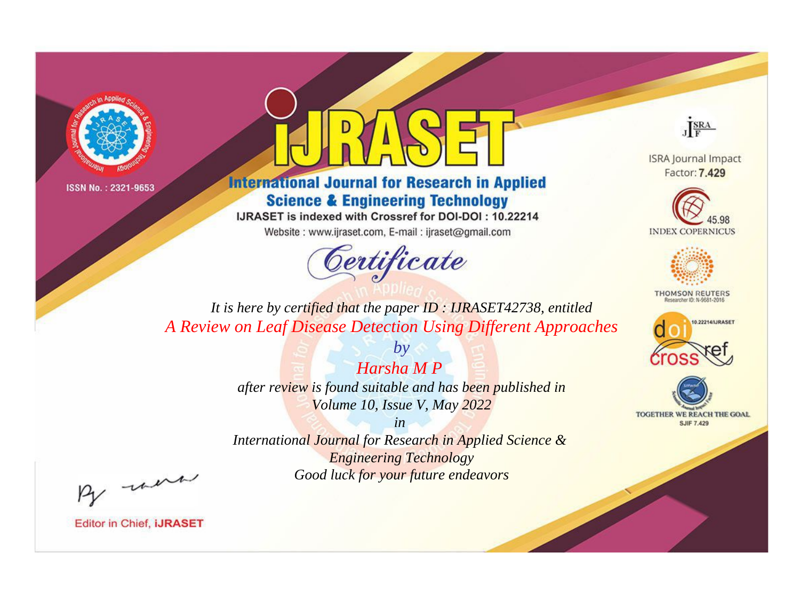



**International Journal for Research in Applied Science & Engineering Technology** 

IJRASET is indexed with Crossref for DOI-DOI: 10.22214

Website: www.ijraset.com, E-mail: ijraset@gmail.com



JERA

**ISRA Journal Impact** Factor: 7.429





**THOMSON REUTERS** 



TOGETHER WE REACH THE GOAL **SJIF 7.429** 

*It is here by certified that the paper ID : IJRASET42738, entitled A Review on Leaf Disease Detection Using Different Approaches*

> *Harsha M P after review is found suitable and has been published in Volume 10, Issue V, May 2022*

*by*

*in* 

*International Journal for Research in Applied Science & Engineering Technology Good luck for your future endeavors*

By morn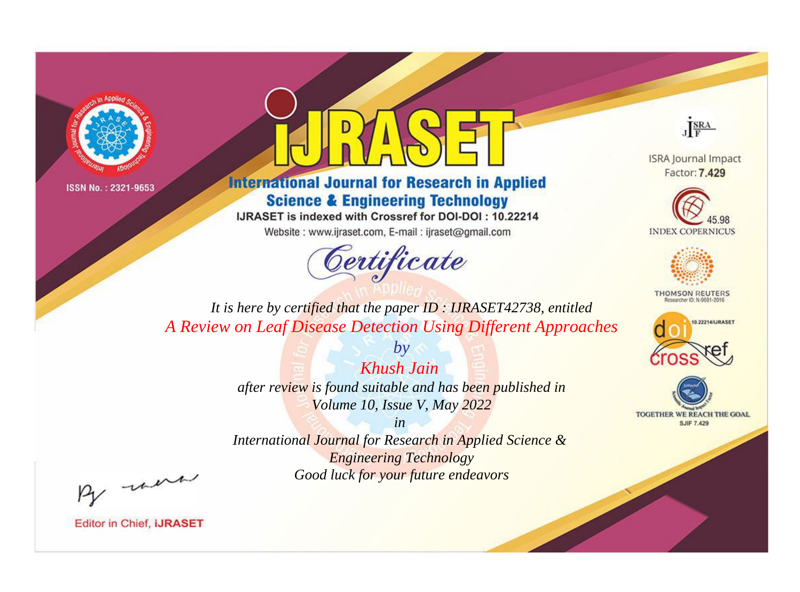



**International Journal for Research in Applied Science & Engineering Technology** 

IJRASET is indexed with Crossref for DOI-DOI: 10.22214

Website: www.ijraset.com, E-mail: ijraset@gmail.com



JERA

**ISRA Journal Impact** Factor: 7.429





**THOMSON REUTERS** 



TOGETHER WE REACH THE GOAL **SJIF 7.429** 

*It is here by certified that the paper ID : IJRASET42738, entitled A Review on Leaf Disease Detection Using Different Approaches*

> *Khush Jain after review is found suitable and has been published in Volume 10, Issue V, May 2022*

*by*

*in* 

*International Journal for Research in Applied Science & Engineering Technology Good luck for your future endeavors*

By morn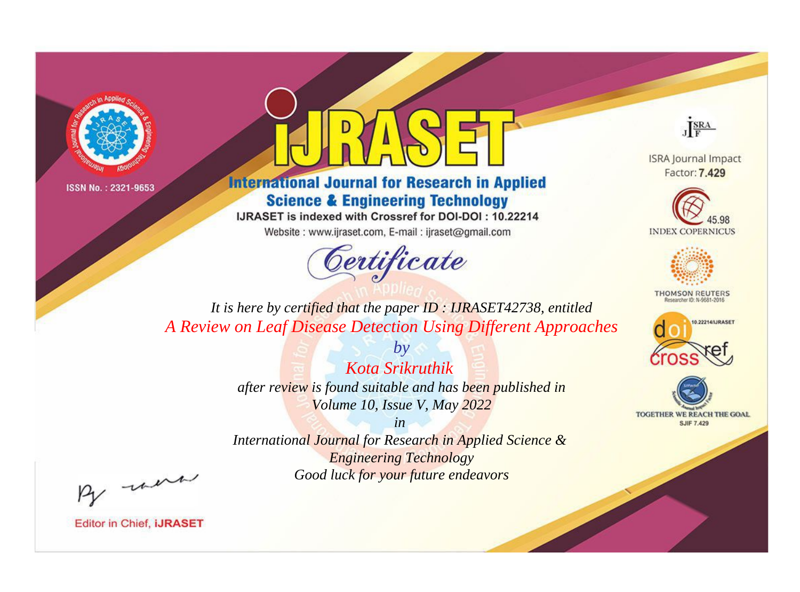



**International Journal for Research in Applied Science & Engineering Technology** 

IJRASET is indexed with Crossref for DOI-DOI: 10.22214

Website: www.ijraset.com, E-mail: ijraset@gmail.com



JERA

**ISRA Journal Impact** Factor: 7.429





**THOMSON REUTERS** 



TOGETHER WE REACH THE GOAL **SJIF 7.429** 

*It is here by certified that the paper ID : IJRASET42738, entitled A Review on Leaf Disease Detection Using Different Approaches*

> *Kota Srikruthik after review is found suitable and has been published in Volume 10, Issue V, May 2022*

*by*

*in* 

*International Journal for Research in Applied Science & Engineering Technology Good luck for your future endeavors*

By morn